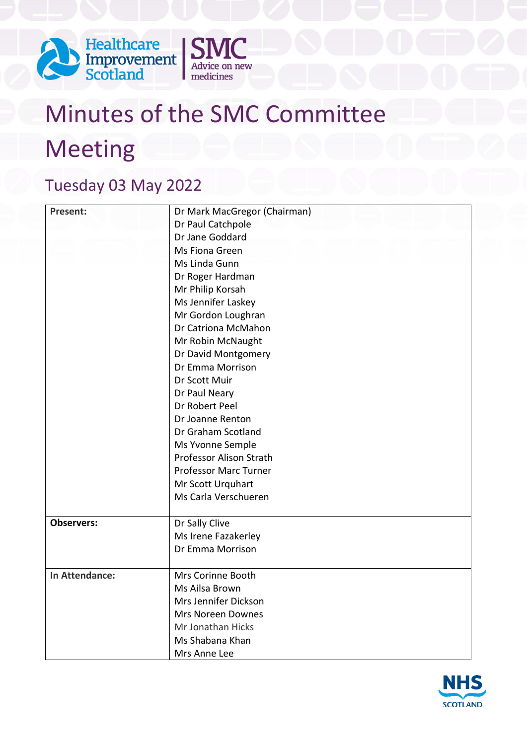



## Tuesday 03 May 2022

| <b>Present:</b>   | Dr Mark MacGregor (Chairman)   |
|-------------------|--------------------------------|
|                   | Dr Paul Catchpole              |
|                   | Dr Jane Goddard                |
|                   | Ms Fiona Green                 |
|                   | Ms Linda Gunn                  |
|                   | Dr Roger Hardman               |
|                   | Mr Philip Korsah               |
|                   | Ms Jennifer Laskey             |
|                   | Mr Gordon Loughran             |
|                   | Dr Catriona McMahon            |
|                   | Mr Robin McNaught              |
|                   | Dr David Montgomery            |
|                   | Dr Emma Morrison               |
|                   | Dr Scott Muir                  |
|                   | Dr Paul Neary                  |
|                   | Dr Robert Peel                 |
|                   | Dr Joanne Renton               |
|                   | Dr Graham Scotland             |
|                   | Ms Yvonne Semple               |
|                   | <b>Professor Alison Strath</b> |
|                   | <b>Professor Marc Turner</b>   |
|                   | Mr Scott Urquhart              |
|                   | Ms Carla Verschueren           |
|                   |                                |
| <b>Observers:</b> | Dr Sally Clive                 |
|                   | Ms Irene Fazakerley            |
|                   | Dr Emma Morrison               |
|                   |                                |
| In Attendance:    | Mrs Corinne Booth              |
|                   | Ms Ailsa Brown                 |
|                   | Mrs Jennifer Dickson           |
|                   | <b>Mrs Noreen Downes</b>       |
|                   | Mr Jonathan Hicks              |
|                   | Ms Shabana Khan                |
|                   | Mrs Anne Lee                   |

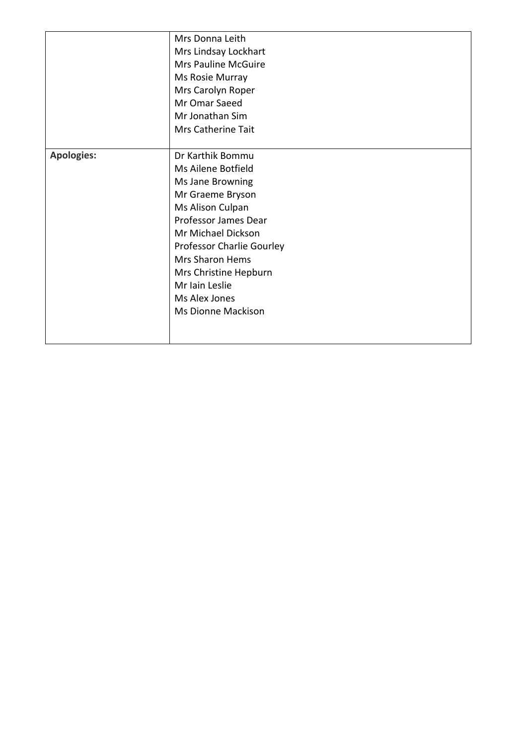|                   | Mrs Donna Leith                  |
|-------------------|----------------------------------|
|                   | Mrs Lindsay Lockhart             |
|                   | Mrs Pauline McGuire              |
|                   | Ms Rosie Murray                  |
|                   | Mrs Carolyn Roper                |
|                   | Mr Omar Saeed                    |
|                   | Mr Jonathan Sim                  |
|                   | Mrs Catherine Tait               |
|                   |                                  |
| <b>Apologies:</b> | Dr Karthik Bommu                 |
|                   | Ms Ailene Botfield               |
|                   | Ms Jane Browning                 |
|                   | Mr Graeme Bryson                 |
|                   | Ms Alison Culpan                 |
|                   | Professor James Dear             |
|                   | Mr Michael Dickson               |
|                   | <b>Professor Charlie Gourley</b> |
|                   | <b>Mrs Sharon Hems</b>           |
|                   | Mrs Christine Hepburn            |
|                   | Mr Iain Leslie                   |
|                   | Ms Alex Jones                    |
|                   | <b>Ms Dionne Mackison</b>        |
|                   |                                  |
|                   |                                  |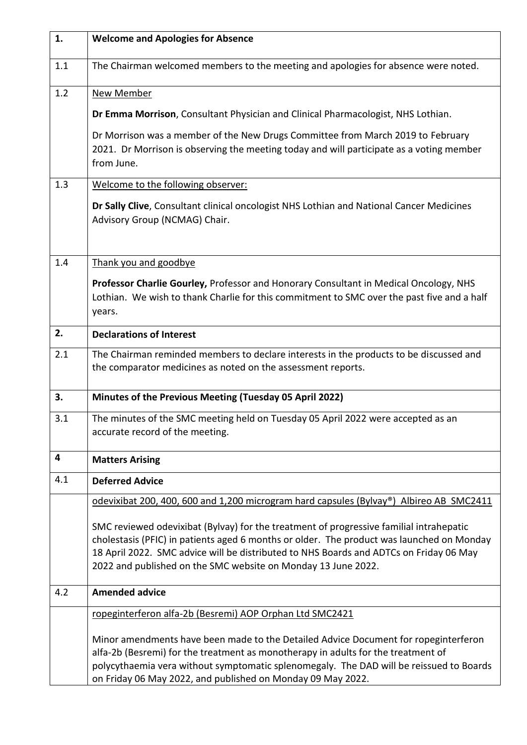| 1.  | <b>Welcome and Apologies for Absence</b>                                                                                                                                                                                                                                                                                                        |
|-----|-------------------------------------------------------------------------------------------------------------------------------------------------------------------------------------------------------------------------------------------------------------------------------------------------------------------------------------------------|
| 1.1 | The Chairman welcomed members to the meeting and apologies for absence were noted.                                                                                                                                                                                                                                                              |
| 1.2 | <b>New Member</b>                                                                                                                                                                                                                                                                                                                               |
|     | Dr Emma Morrison, Consultant Physician and Clinical Pharmacologist, NHS Lothian.                                                                                                                                                                                                                                                                |
|     | Dr Morrison was a member of the New Drugs Committee from March 2019 to February<br>2021. Dr Morrison is observing the meeting today and will participate as a voting member<br>from June.                                                                                                                                                       |
| 1.3 | Welcome to the following observer:                                                                                                                                                                                                                                                                                                              |
|     | Dr Sally Clive, Consultant clinical oncologist NHS Lothian and National Cancer Medicines<br>Advisory Group (NCMAG) Chair.                                                                                                                                                                                                                       |
| 1.4 | Thank you and goodbye                                                                                                                                                                                                                                                                                                                           |
|     | Professor Charlie Gourley, Professor and Honorary Consultant in Medical Oncology, NHS<br>Lothian. We wish to thank Charlie for this commitment to SMC over the past five and a half<br>years.                                                                                                                                                   |
| 2.  | <b>Declarations of Interest</b>                                                                                                                                                                                                                                                                                                                 |
| 2.1 | The Chairman reminded members to declare interests in the products to be discussed and<br>the comparator medicines as noted on the assessment reports.                                                                                                                                                                                          |
| 3.  | Minutes of the Previous Meeting (Tuesday 05 April 2022)                                                                                                                                                                                                                                                                                         |
| 3.1 | The minutes of the SMC meeting held on Tuesday 05 April 2022 were accepted as an<br>accurate record of the meeting.                                                                                                                                                                                                                             |
| 4   | <b>Matters Arising</b>                                                                                                                                                                                                                                                                                                                          |
| 4.1 | <b>Deferred Advice</b>                                                                                                                                                                                                                                                                                                                          |
|     | odevixibat 200, 400, 600 and 1,200 microgram hard capsules (Bylvay®) Albireo AB SMC2411                                                                                                                                                                                                                                                         |
|     | SMC reviewed odevixibat (Bylvay) for the treatment of progressive familial intrahepatic<br>cholestasis (PFIC) in patients aged 6 months or older. The product was launched on Monday<br>18 April 2022. SMC advice will be distributed to NHS Boards and ADTCs on Friday 06 May<br>2022 and published on the SMC website on Monday 13 June 2022. |
| 4.2 | <b>Amended advice</b>                                                                                                                                                                                                                                                                                                                           |
|     | ropeginterferon alfa-2b (Besremi) AOP Orphan Ltd SMC2421                                                                                                                                                                                                                                                                                        |
|     | Minor amendments have been made to the Detailed Advice Document for ropeginterferon<br>alfa-2b (Besremi) for the treatment as monotherapy in adults for the treatment of<br>polycythaemia vera without symptomatic splenomegaly. The DAD will be reissued to Boards<br>on Friday 06 May 2022, and published on Monday 09 May 2022.              |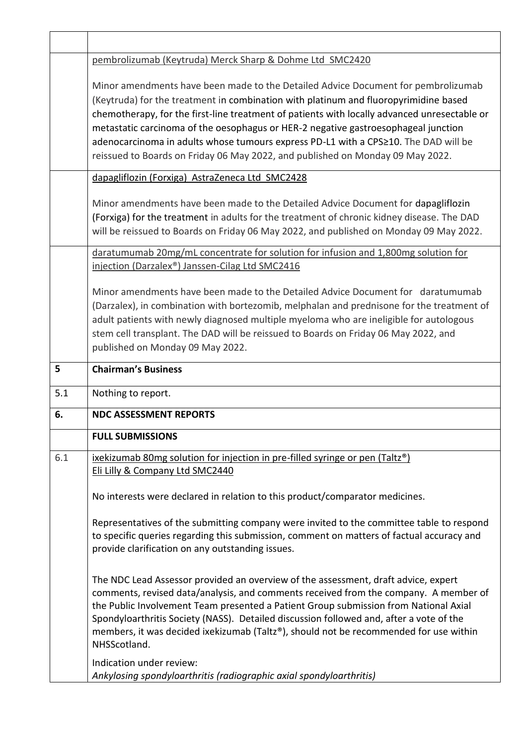|     | pembrolizumab (Keytruda) Merck Sharp & Dohme Ltd SMC2420                                                                                                                                                                                                                                                                                                                                                                                                                                                                                 |
|-----|------------------------------------------------------------------------------------------------------------------------------------------------------------------------------------------------------------------------------------------------------------------------------------------------------------------------------------------------------------------------------------------------------------------------------------------------------------------------------------------------------------------------------------------|
|     | Minor amendments have been made to the Detailed Advice Document for pembrolizumab<br>(Keytruda) for the treatment in combination with platinum and fluoropyrimidine based<br>chemotherapy, for the first-line treatment of patients with locally advanced unresectable or<br>metastatic carcinoma of the oesophagus or HER-2 negative gastroesophageal junction<br>adenocarcinoma in adults whose tumours express PD-L1 with a CPS≥10. The DAD will be<br>reissued to Boards on Friday 06 May 2022, and published on Monday 09 May 2022. |
|     | dapagliflozin (Forxiga) AstraZeneca Ltd SMC2428                                                                                                                                                                                                                                                                                                                                                                                                                                                                                          |
|     | Minor amendments have been made to the Detailed Advice Document for dapagliflozin<br>(Forxiga) for the treatment in adults for the treatment of chronic kidney disease. The DAD<br>will be reissued to Boards on Friday 06 May 2022, and published on Monday 09 May 2022.                                                                                                                                                                                                                                                                |
|     | daratumumab 20mg/mL concentrate for solution for infusion and 1,800mg solution for<br>injection (Darzalex <sup>®</sup> ) Janssen-Cilag Ltd SMC2416                                                                                                                                                                                                                                                                                                                                                                                       |
|     | Minor amendments have been made to the Detailed Advice Document for daratumumab<br>(Darzalex), in combination with bortezomib, melphalan and prednisone for the treatment of<br>adult patients with newly diagnosed multiple myeloma who are ineligible for autologous<br>stem cell transplant. The DAD will be reissued to Boards on Friday 06 May 2022, and<br>published on Monday 09 May 2022.                                                                                                                                        |
|     |                                                                                                                                                                                                                                                                                                                                                                                                                                                                                                                                          |
| 5   | <b>Chairman's Business</b>                                                                                                                                                                                                                                                                                                                                                                                                                                                                                                               |
| 5.1 | Nothing to report.                                                                                                                                                                                                                                                                                                                                                                                                                                                                                                                       |
| 6.  | <b>NDC ASSESSMENT REPORTS</b>                                                                                                                                                                                                                                                                                                                                                                                                                                                                                                            |
|     | <b>FULL SUBMISSIONS</b>                                                                                                                                                                                                                                                                                                                                                                                                                                                                                                                  |
| 6.1 | ixekizumab 80mg solution for injection in pre-filled syringe or pen (Taltz®)<br>Eli Lilly & Company Ltd SMC2440                                                                                                                                                                                                                                                                                                                                                                                                                          |
|     | No interests were declared in relation to this product/comparator medicines.                                                                                                                                                                                                                                                                                                                                                                                                                                                             |
|     | Representatives of the submitting company were invited to the committee table to respond<br>to specific queries regarding this submission, comment on matters of factual accuracy and<br>provide clarification on any outstanding issues.                                                                                                                                                                                                                                                                                                |
|     | The NDC Lead Assessor provided an overview of the assessment, draft advice, expert<br>comments, revised data/analysis, and comments received from the company. A member of<br>the Public Involvement Team presented a Patient Group submission from National Axial<br>Spondyloarthritis Society (NASS). Detailed discussion followed and, after a vote of the<br>members, it was decided ixekizumab (Taltz®), should not be recommended for use within<br>NHSScotland.<br>Indication under review:                                       |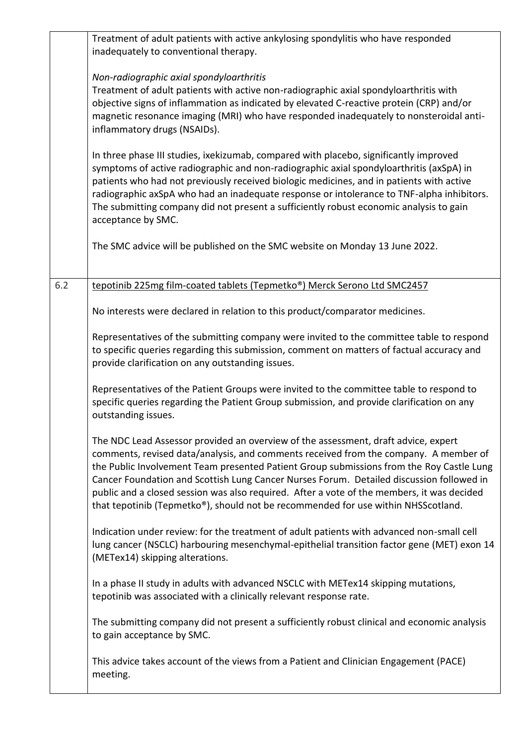|     | Treatment of adult patients with active ankylosing spondylitis who have responded<br>inadequately to conventional therapy.                                                                                                                                                                                                                                                                                                                                                                                                                            |
|-----|-------------------------------------------------------------------------------------------------------------------------------------------------------------------------------------------------------------------------------------------------------------------------------------------------------------------------------------------------------------------------------------------------------------------------------------------------------------------------------------------------------------------------------------------------------|
|     | Non-radiographic axial spondyloarthritis<br>Treatment of adult patients with active non-radiographic axial spondyloarthritis with<br>objective signs of inflammation as indicated by elevated C-reactive protein (CRP) and/or<br>magnetic resonance imaging (MRI) who have responded inadequately to nonsteroidal anti-<br>inflammatory drugs (NSAIDs).                                                                                                                                                                                               |
|     | In three phase III studies, ixekizumab, compared with placebo, significantly improved<br>symptoms of active radiographic and non-radiographic axial spondyloarthritis (axSpA) in<br>patients who had not previously received biologic medicines, and in patients with active<br>radiographic axSpA who had an inadequate response or intolerance to TNF-alpha inhibitors.<br>The submitting company did not present a sufficiently robust economic analysis to gain<br>acceptance by SMC.                                                             |
|     | The SMC advice will be published on the SMC website on Monday 13 June 2022.                                                                                                                                                                                                                                                                                                                                                                                                                                                                           |
| 6.2 | tepotinib 225mg film-coated tablets (Tepmetko®) Merck Serono Ltd SMC2457                                                                                                                                                                                                                                                                                                                                                                                                                                                                              |
|     | No interests were declared in relation to this product/comparator medicines.                                                                                                                                                                                                                                                                                                                                                                                                                                                                          |
|     | Representatives of the submitting company were invited to the committee table to respond<br>to specific queries regarding this submission, comment on matters of factual accuracy and<br>provide clarification on any outstanding issues.                                                                                                                                                                                                                                                                                                             |
|     | Representatives of the Patient Groups were invited to the committee table to respond to<br>specific queries regarding the Patient Group submission, and provide clarification on any<br>outstanding issues.                                                                                                                                                                                                                                                                                                                                           |
|     | The NDC Lead Assessor provided an overview of the assessment, draft advice, expert<br>comments, revised data/analysis, and comments received from the company. A member of<br>the Public Involvement Team presented Patient Group submissions from the Roy Castle Lung<br>Cancer Foundation and Scottish Lung Cancer Nurses Forum. Detailed discussion followed in<br>public and a closed session was also required. After a vote of the members, it was decided<br>that tepotinib (Tepmetko®), should not be recommended for use within NHSScotland. |
|     | Indication under review: for the treatment of adult patients with advanced non-small cell<br>lung cancer (NSCLC) harbouring mesenchymal-epithelial transition factor gene (MET) exon 14<br>(METex14) skipping alterations.                                                                                                                                                                                                                                                                                                                            |
|     | In a phase II study in adults with advanced NSCLC with METex14 skipping mutations,<br>tepotinib was associated with a clinically relevant response rate.                                                                                                                                                                                                                                                                                                                                                                                              |
|     | The submitting company did not present a sufficiently robust clinical and economic analysis<br>to gain acceptance by SMC.                                                                                                                                                                                                                                                                                                                                                                                                                             |
|     | This advice takes account of the views from a Patient and Clinician Engagement (PACE)<br>meeting.                                                                                                                                                                                                                                                                                                                                                                                                                                                     |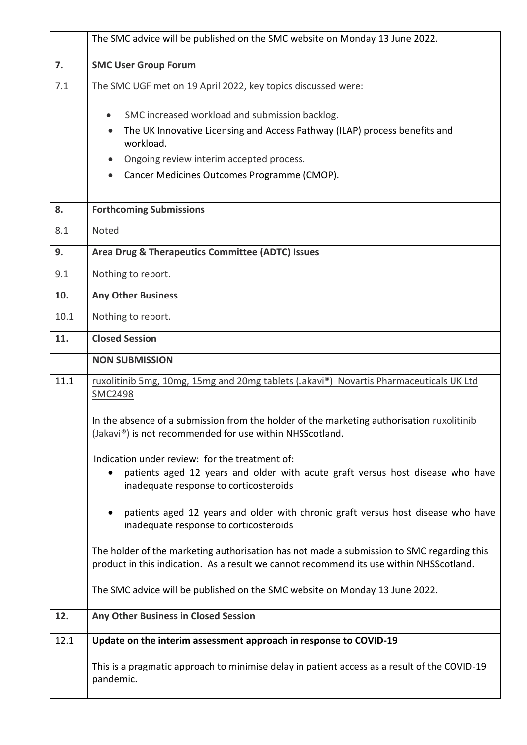|      | The SMC advice will be published on the SMC website on Monday 13 June 2022.                                                                                                          |
|------|--------------------------------------------------------------------------------------------------------------------------------------------------------------------------------------|
| 7.   | <b>SMC User Group Forum</b>                                                                                                                                                          |
| 7.1  | The SMC UGF met on 19 April 2022, key topics discussed were:                                                                                                                         |
|      | SMC increased workload and submission backlog.<br>$\bullet$<br>The UK Innovative Licensing and Access Pathway (ILAP) process benefits and<br>$\bullet$<br>workload.                  |
|      | Ongoing review interim accepted process.<br>$\bullet$                                                                                                                                |
|      | Cancer Medicines Outcomes Programme (CMOP).<br>$\bullet$                                                                                                                             |
| 8.   | <b>Forthcoming Submissions</b>                                                                                                                                                       |
| 8.1  | Noted                                                                                                                                                                                |
| 9.   | Area Drug & Therapeutics Committee (ADTC) Issues                                                                                                                                     |
| 9.1  | Nothing to report.                                                                                                                                                                   |
| 10.  | <b>Any Other Business</b>                                                                                                                                                            |
| 10.1 | Nothing to report.                                                                                                                                                                   |
| 11.  | <b>Closed Session</b>                                                                                                                                                                |
|      | <b>NON SUBMISSION</b>                                                                                                                                                                |
| 11.1 | ruxolitinib 5mg, 10mg, 15mg and 20mg tablets (Jakavi®) Novartis Pharmaceuticals UK Ltd<br>SMC2498                                                                                    |
|      | In the absence of a submission from the holder of the marketing authorisation ruxolitinib<br>(Jakavi®) is not recommended for use within NHSScotland.                                |
|      | Indication under review: for the treatment of:<br>patients aged 12 years and older with acute graft versus host disease who have<br>inadequate response to corticosteroids           |
|      | patients aged 12 years and older with chronic graft versus host disease who have<br>inadequate response to corticosteroids                                                           |
|      | The holder of the marketing authorisation has not made a submission to SMC regarding this<br>product in this indication. As a result we cannot recommend its use within NHSScotland. |
|      | The SMC advice will be published on the SMC website on Monday 13 June 2022.                                                                                                          |
| 12.  | Any Other Business in Closed Session                                                                                                                                                 |
| 12.1 | Update on the interim assessment approach in response to COVID-19                                                                                                                    |
|      | This is a pragmatic approach to minimise delay in patient access as a result of the COVID-19<br>pandemic.                                                                            |